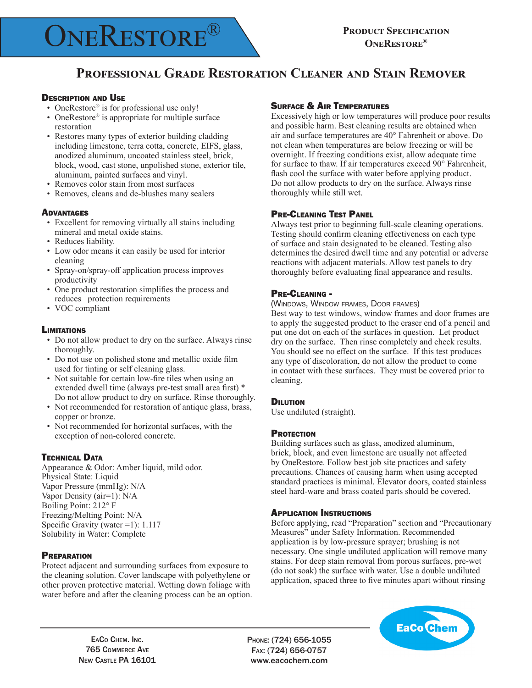# **ONERESTORE**<sup>(B)</sup> PRODUCT SPECIFICATION

## **Professional Grade Restoration Cleaner and Stain Remover**

### Description and Use

- OneRestore® is for professional use only!
- OneRestore® is appropriate for multiple surface restoration
- Restores many types of exterior building cladding including limestone, terra cotta, concrete, EIFS, glass, anodized aluminum, uncoated stainless steel, brick, block, wood, cast stone, unpolished stone, exterior tile, aluminum, painted surfaces and vinyl.
- Removes color stain from most surfaces
- • Removes, cleans and de-blushes many sealers

### **ADVANTAGES**

- Excellent for removing virtually all stains including mineral and metal oxide stains.
- Reduces liability.
- • Low odor means it can easily be used for interior cleaning
- • Spray-on/spray-off application process improves productivity
- One product restoration simplifies the process and reduces protection requirements
- VOC compliant

### **LIMITATIONS**

- Do not allow product to dry on the surface. Always rinse thoroughly.
- Do not use on polished stone and metallic oxide film used for tinting or self cleaning glass.
- Not suitable for certain low-fire tiles when using an extended dwell time (always pre-test small area first) \* Do not allow product to dry on surface. Rinse thoroughly.
- Not recommended for restoration of antique glass, brass, copper or bronze.
- Not recommended for horizontal surfaces, with the exception of non-colored concrete.

### **TECHNICAL DATA**

Appearance & Odor: Amber liquid, mild odor. Physical State: Liquid Vapor Pressure (mmHg): N/A Vapor Density (air=1): N/A Boiling Point: 212° F Freezing/Melting Point: N/A Specific Gravity (water =1): 1.117 Solubility in Water: Complete

### **PREPARATION**

Protect adjacent and surrounding surfaces from exposure to the cleaning solution. Cover landscape with polyethylene or other proven protective material. Wetting down foliage with water before and after the cleaning process can be an option.

### Surface & Air Temperatures

Excessively high or low temperatures will produce poor results and possible harm. Best cleaning results are obtained when air and surface temperatures are 40° Fahrenheit or above. Do not clean when temperatures are below freezing or will be overnight. If freezing conditions exist, allow adequate time for surface to thaw. If air temperatures exceed 90° Fahrenheit, flash cool the surface with water before applying product. Do not allow products to dry on the surface. Always rinse thoroughly while still wet.

### Pre-Cleaning Test Panel

Always test prior to beginning full-scale cleaning operations. Testing should confirm cleaning effectiveness on each type of surface and stain designated to be cleaned. Testing also determines the desired dwell time and any potential or adverse reactions with adjacent materials. Allow test panels to dry thoroughly before evaluating final appearance and results.

### Pre-Cleaning -

(Windows, Window frames, Door frames)

Best way to test windows, window frames and door frames are to apply the suggested product to the eraser end of a pencil and put one dot on each of the surfaces in question. Let product dry on the surface. Then rinse completely and check results. You should see no effect on the surface. If this test produces any type of discoloration, do not allow the product to come in contact with these surfaces. They must be covered prior to cleaning.

### **DILUTION**

Use undiluted (straight).

### **PROTECTION**

Building surfaces such as glass, anodized aluminum, brick, block, and even limestone are usually not affected by OneRestore. Follow best job site practices and safety precautions. Chances of causing harm when using accepted standard practices is minimal. Elevator doors, coated stainless steel hard-ware and brass coated parts should be covered.

### Application Instructions

Before applying, read "Preparation" section and "Precautionary Measures" under Safety Information. Recommended application is by low-pressure sprayer; brushing is not necessary. One single undiluted application will remove many stains. For deep stain removal from porous surfaces, pre-wet (do not soak) the surface with water. Use a double undiluted application, spaced three to five minutes apart without rinsing

EaCo Chem. Inc. 765 Commerce Ave New CASTLE PA 16101 Phone: (724) 656-1055 Fax: (724) 656-0757 www.eacochem.com